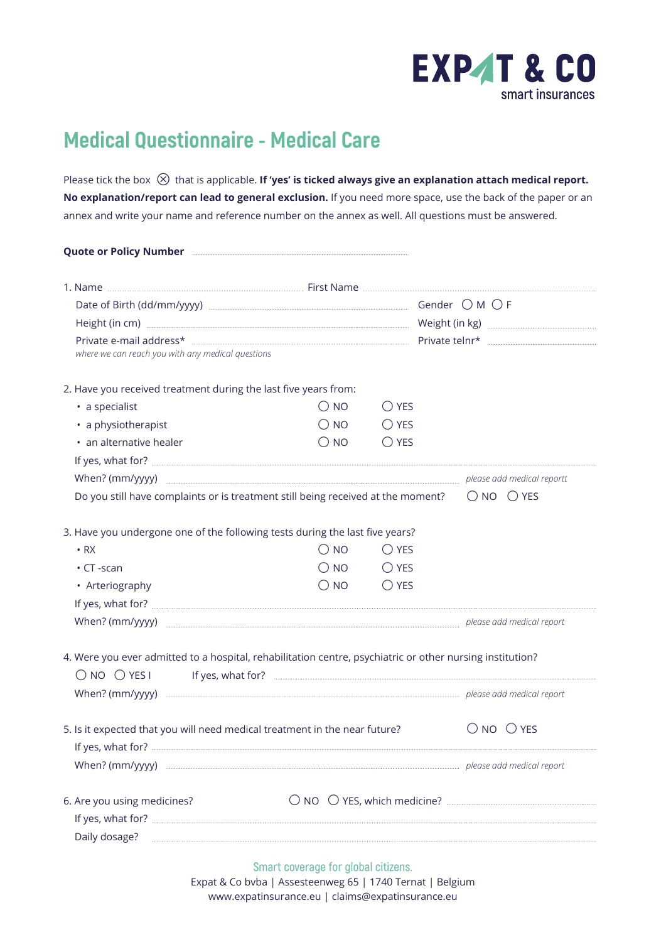

## **Medical Questionnaire - Medical Care**

Please tick the box  $\otimes$  that is applicable. If 'yes' is ticked always give an explanation attach medical report. **No explanation/report can lead to general exclusion.** If you need more space, use the back of the paper or an annex and write your name and reference number on the annex as well. All questions must be answered.

| Height (in cm) <b>with the contract of the contract of the contract of the contract of the contract of the contract of the contract of the contract of the contract of the contract of the contract of the contract of the contr</b><br>where we can reach you with any medical questions<br>2. Have you received treatment during the last five years from:<br>• a specialist<br>$\bigcirc$ NO<br>$\bigcirc$ YES<br>$\bigcirc$ NO<br>$\bigcirc$ YES<br>• a physiotherapist<br>$\bigcirc$ YES<br>• an alternative healer<br>$\bigcirc$ NO<br>$\bigcirc$ NO $\bigcirc$ YES<br>Do you still have complaints or is treatment still being received at the moment?<br>3. Have you undergone one of the following tests during the last five years?<br>$\bigcirc$ NO<br>$\bigcirc$ YES<br>$\cdot$ RX<br>$\bigcirc$ NO $\bigcirc$ YES<br>$\cdot$ CT -scan<br>$\bigcirc$ NO<br>$\bigcirc$ YES<br>• Arteriography<br>When? (mm/yyyy) manufactured and medical report<br>4. Were you ever admitted to a hospital, rehabilitation centre, psychiatric or other nursing institution?<br>$\bigcirc$ NO $\bigcirc$ YES I<br>5. Is it expected that you will need medical treatment in the near future?<br>$\bigcirc$ NO $\bigcirc$ YES<br>When? (mm/yyyy) <b>manually construct the construct of the construct of the construction</b> please add medical report<br>6. Are you using medicines?<br>Daily dosage? | Quote or Policy Number <b>Engineer Active Strategie Policy Number</b> |  |  |
|----------------------------------------------------------------------------------------------------------------------------------------------------------------------------------------------------------------------------------------------------------------------------------------------------------------------------------------------------------------------------------------------------------------------------------------------------------------------------------------------------------------------------------------------------------------------------------------------------------------------------------------------------------------------------------------------------------------------------------------------------------------------------------------------------------------------------------------------------------------------------------------------------------------------------------------------------------------------------------------------------------------------------------------------------------------------------------------------------------------------------------------------------------------------------------------------------------------------------------------------------------------------------------------------------------------------------------------------------------------------------------------------------|-----------------------------------------------------------------------|--|--|
|                                                                                                                                                                                                                                                                                                                                                                                                                                                                                                                                                                                                                                                                                                                                                                                                                                                                                                                                                                                                                                                                                                                                                                                                                                                                                                                                                                                                    |                                                                       |  |  |
|                                                                                                                                                                                                                                                                                                                                                                                                                                                                                                                                                                                                                                                                                                                                                                                                                                                                                                                                                                                                                                                                                                                                                                                                                                                                                                                                                                                                    |                                                                       |  |  |
|                                                                                                                                                                                                                                                                                                                                                                                                                                                                                                                                                                                                                                                                                                                                                                                                                                                                                                                                                                                                                                                                                                                                                                                                                                                                                                                                                                                                    |                                                                       |  |  |
|                                                                                                                                                                                                                                                                                                                                                                                                                                                                                                                                                                                                                                                                                                                                                                                                                                                                                                                                                                                                                                                                                                                                                                                                                                                                                                                                                                                                    |                                                                       |  |  |
|                                                                                                                                                                                                                                                                                                                                                                                                                                                                                                                                                                                                                                                                                                                                                                                                                                                                                                                                                                                                                                                                                                                                                                                                                                                                                                                                                                                                    |                                                                       |  |  |
|                                                                                                                                                                                                                                                                                                                                                                                                                                                                                                                                                                                                                                                                                                                                                                                                                                                                                                                                                                                                                                                                                                                                                                                                                                                                                                                                                                                                    |                                                                       |  |  |
|                                                                                                                                                                                                                                                                                                                                                                                                                                                                                                                                                                                                                                                                                                                                                                                                                                                                                                                                                                                                                                                                                                                                                                                                                                                                                                                                                                                                    |                                                                       |  |  |
|                                                                                                                                                                                                                                                                                                                                                                                                                                                                                                                                                                                                                                                                                                                                                                                                                                                                                                                                                                                                                                                                                                                                                                                                                                                                                                                                                                                                    |                                                                       |  |  |
|                                                                                                                                                                                                                                                                                                                                                                                                                                                                                                                                                                                                                                                                                                                                                                                                                                                                                                                                                                                                                                                                                                                                                                                                                                                                                                                                                                                                    |                                                                       |  |  |
|                                                                                                                                                                                                                                                                                                                                                                                                                                                                                                                                                                                                                                                                                                                                                                                                                                                                                                                                                                                                                                                                                                                                                                                                                                                                                                                                                                                                    |                                                                       |  |  |
|                                                                                                                                                                                                                                                                                                                                                                                                                                                                                                                                                                                                                                                                                                                                                                                                                                                                                                                                                                                                                                                                                                                                                                                                                                                                                                                                                                                                    |                                                                       |  |  |
|                                                                                                                                                                                                                                                                                                                                                                                                                                                                                                                                                                                                                                                                                                                                                                                                                                                                                                                                                                                                                                                                                                                                                                                                                                                                                                                                                                                                    |                                                                       |  |  |
|                                                                                                                                                                                                                                                                                                                                                                                                                                                                                                                                                                                                                                                                                                                                                                                                                                                                                                                                                                                                                                                                                                                                                                                                                                                                                                                                                                                                    |                                                                       |  |  |
|                                                                                                                                                                                                                                                                                                                                                                                                                                                                                                                                                                                                                                                                                                                                                                                                                                                                                                                                                                                                                                                                                                                                                                                                                                                                                                                                                                                                    |                                                                       |  |  |
|                                                                                                                                                                                                                                                                                                                                                                                                                                                                                                                                                                                                                                                                                                                                                                                                                                                                                                                                                                                                                                                                                                                                                                                                                                                                                                                                                                                                    |                                                                       |  |  |
|                                                                                                                                                                                                                                                                                                                                                                                                                                                                                                                                                                                                                                                                                                                                                                                                                                                                                                                                                                                                                                                                                                                                                                                                                                                                                                                                                                                                    |                                                                       |  |  |
|                                                                                                                                                                                                                                                                                                                                                                                                                                                                                                                                                                                                                                                                                                                                                                                                                                                                                                                                                                                                                                                                                                                                                                                                                                                                                                                                                                                                    |                                                                       |  |  |
|                                                                                                                                                                                                                                                                                                                                                                                                                                                                                                                                                                                                                                                                                                                                                                                                                                                                                                                                                                                                                                                                                                                                                                                                                                                                                                                                                                                                    |                                                                       |  |  |
|                                                                                                                                                                                                                                                                                                                                                                                                                                                                                                                                                                                                                                                                                                                                                                                                                                                                                                                                                                                                                                                                                                                                                                                                                                                                                                                                                                                                    |                                                                       |  |  |
|                                                                                                                                                                                                                                                                                                                                                                                                                                                                                                                                                                                                                                                                                                                                                                                                                                                                                                                                                                                                                                                                                                                                                                                                                                                                                                                                                                                                    |                                                                       |  |  |
|                                                                                                                                                                                                                                                                                                                                                                                                                                                                                                                                                                                                                                                                                                                                                                                                                                                                                                                                                                                                                                                                                                                                                                                                                                                                                                                                                                                                    |                                                                       |  |  |
|                                                                                                                                                                                                                                                                                                                                                                                                                                                                                                                                                                                                                                                                                                                                                                                                                                                                                                                                                                                                                                                                                                                                                                                                                                                                                                                                                                                                    |                                                                       |  |  |
|                                                                                                                                                                                                                                                                                                                                                                                                                                                                                                                                                                                                                                                                                                                                                                                                                                                                                                                                                                                                                                                                                                                                                                                                                                                                                                                                                                                                    |                                                                       |  |  |
|                                                                                                                                                                                                                                                                                                                                                                                                                                                                                                                                                                                                                                                                                                                                                                                                                                                                                                                                                                                                                                                                                                                                                                                                                                                                                                                                                                                                    |                                                                       |  |  |
|                                                                                                                                                                                                                                                                                                                                                                                                                                                                                                                                                                                                                                                                                                                                                                                                                                                                                                                                                                                                                                                                                                                                                                                                                                                                                                                                                                                                    |                                                                       |  |  |
|                                                                                                                                                                                                                                                                                                                                                                                                                                                                                                                                                                                                                                                                                                                                                                                                                                                                                                                                                                                                                                                                                                                                                                                                                                                                                                                                                                                                    |                                                                       |  |  |

**Smart coverage for global citizens.** Expat & Co bvba | Assesteenweg 65 | 1740 Ternat | Belgium www.expatinsurance.eu | claims@expatinsurance.eu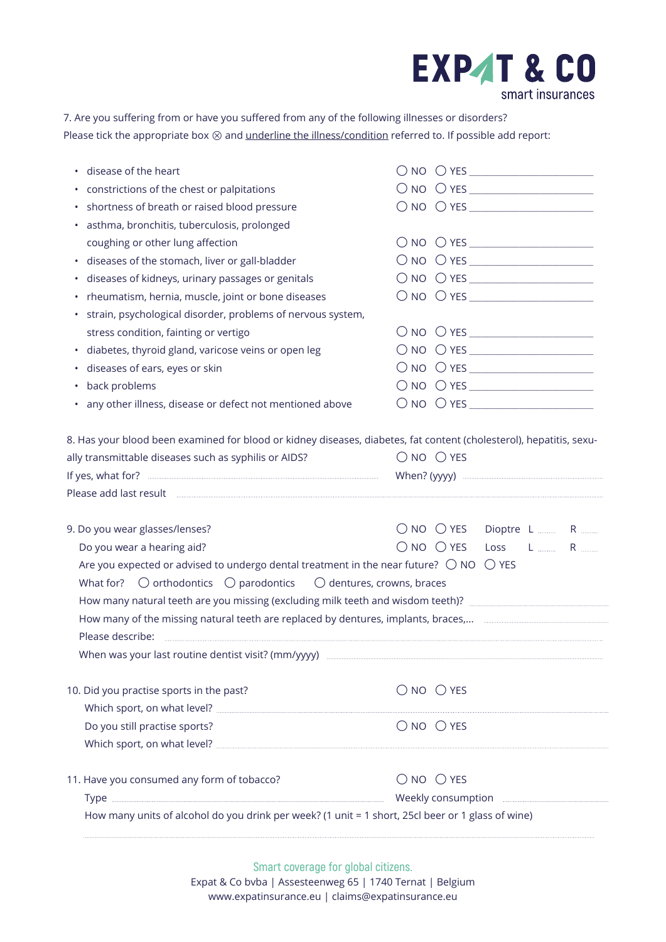## **EXP4T & CO** smart insurances

7. Are you suffering from or have you suffered from any of the following illnesses or disorders? Please tick the appropriate box  $\otimes$  and <u>underline the illness/condition</u> referred to. If possible add report:

| disease of the heart<br>٠                                                                                            |                                                                                                                                                         |
|----------------------------------------------------------------------------------------------------------------------|---------------------------------------------------------------------------------------------------------------------------------------------------------|
| constrictions of the chest or palpitations                                                                           | $\begin{tabular}{ c c c c } \hline \rule{0pt}{.5ex} $\bigcirc$ no & $\bigcirc$ YES \underline{\hspace{1em}} \hspace{1em}\rule{1em}{.5ex} \end{tabular}$ |
| shortness of breath or raised blood pressure                                                                         |                                                                                                                                                         |
| asthma, bronchitis, tuberculosis, prolonged                                                                          |                                                                                                                                                         |
| coughing or other lung affection                                                                                     | $\begin{tabular}{ c c c c } \hline \rule{0pt}{.5ex} $\bigcirc$ no & $\bigcirc$ YES \underline{\hspace{1em}} \hspace{1em}\rule{1em}{.5ex} \end{tabular}$ |
| · diseases of the stomach, liver or gall-bladder                                                                     | $\bigcirc$ no $\bigcirc$ yes $\_\_\_\_\_\_\_\_\_\_\_\_\_\_\_\_\_\_\_\_\_$                                                                               |
| diseases of kidneys, urinary passages or genitals<br>٠                                                               |                                                                                                                                                         |
| rheumatism, hernia, muscle, joint or bone diseases                                                                   |                                                                                                                                                         |
| strain, psychological disorder, problems of nervous system,                                                          |                                                                                                                                                         |
| stress condition, fainting or vertigo                                                                                |                                                                                                                                                         |
| diabetes, thyroid gland, varicose veins or open leg<br>$\bullet$                                                     |                                                                                                                                                         |
| · diseases of ears, eyes or skin                                                                                     |                                                                                                                                                         |
| back problems<br>$\bullet$                                                                                           |                                                                                                                                                         |
| • any other illness, disease or defect not mentioned above                                                           |                                                                                                                                                         |
| 8. Has your blood been examined for blood or kidney diseases, diabetes, fat content (cholesterol), hepatitis, sexu-  |                                                                                                                                                         |
| ally transmittable diseases such as syphilis or AIDS?                                                                | $\bigcirc$ NO $\bigcirc$ YES                                                                                                                            |
|                                                                                                                      |                                                                                                                                                         |
|                                                                                                                      |                                                                                                                                                         |
|                                                                                                                      |                                                                                                                                                         |
|                                                                                                                      |                                                                                                                                                         |
| 9. Do you wear glasses/lenses?                                                                                       | $\bigcirc$ NO $\bigcirc$ YES Dioptre L  R<br>$\bigcirc$ no $\bigcirc$ yes<br>Loss L  R                                                                  |
| Do you wear a hearing aid?                                                                                           |                                                                                                                                                         |
| Are you expected or advised to undergo dental treatment in the near future? $\bigcirc$ NO $\bigcirc$ YES             |                                                                                                                                                         |
| What for? $\bigcirc$ orthodontics $\bigcirc$ parodontics $\bigcirc$ dentures, crowns, braces                         |                                                                                                                                                         |
|                                                                                                                      |                                                                                                                                                         |
| How many of the missing natural teeth are replaced by dentures, implants, braces, <b>Electeral and the manufants</b> |                                                                                                                                                         |
|                                                                                                                      |                                                                                                                                                         |
|                                                                                                                      |                                                                                                                                                         |
| 10. Did you practise sports in the past?                                                                             | $\bigcirc$ NO $\bigcirc$ YES                                                                                                                            |
|                                                                                                                      |                                                                                                                                                         |
| Do you still practise sports?                                                                                        | $\bigcirc$ NO $\bigcirc$ YES                                                                                                                            |
| 11. Have you consumed any form of tobacco?                                                                           | $\bigcirc$ NO $\bigcirc$ YES                                                                                                                            |
|                                                                                                                      |                                                                                                                                                         |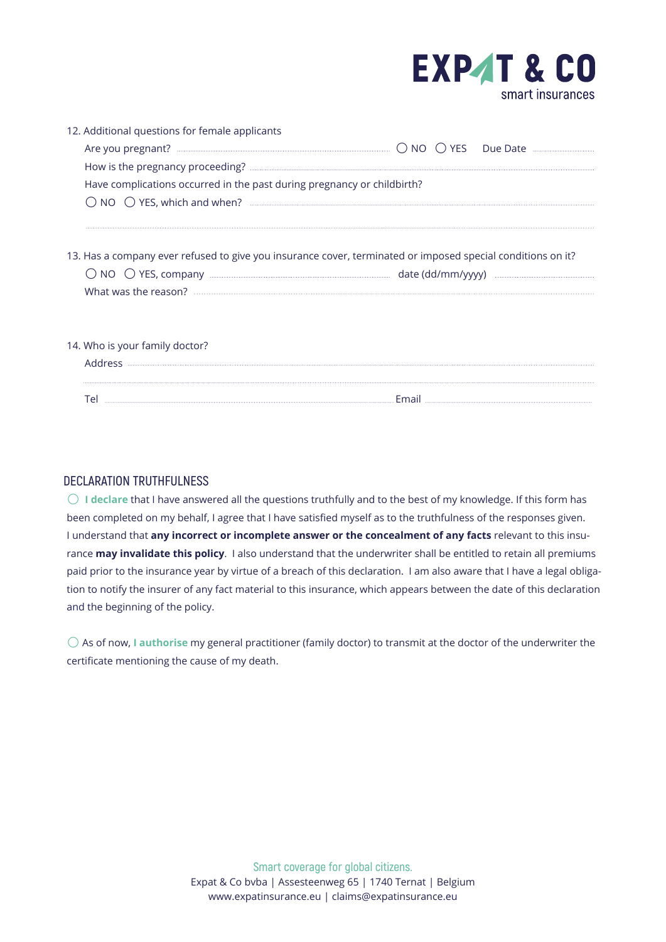

| 12. Additional questions for female applicants                                                              |  |
|-------------------------------------------------------------------------------------------------------------|--|
|                                                                                                             |  |
|                                                                                                             |  |
| Have complications occurred in the past during pregnancy or childbirth?                                     |  |
|                                                                                                             |  |
| 13. Has a company ever refused to give you insurance cover, terminated or imposed special conditions on it? |  |
| 14. Who is your family doctor?                                                                              |  |
|                                                                                                             |  |

| ł |  |
|---|--|

## **DECLARATION TRUTHFULNESS**

 **I declare** that I have answered all the questions truthfully and to the best of my knowledge. If this form has been completed on my behalf, I agree that I have satisfied myself as to the truthfulness of the responses given. I understand that **any incorrect or incomplete answer or the concealment of any facts** relevant to this insurance **may invalidate this policy**. I also understand that the underwriter shall be entitled to retain all premiums paid prior to the insurance year by virtue of a breach of this declaration. I am also aware that I have a legal obligation to notify the insurer of any fact material to this insurance, which appears between the date of this declaration and the beginning of the policy.

 As of now, **I authorise** my general practitioner (family doctor) to transmit at the doctor of the underwriter the certificate mentioning the cause of my death.